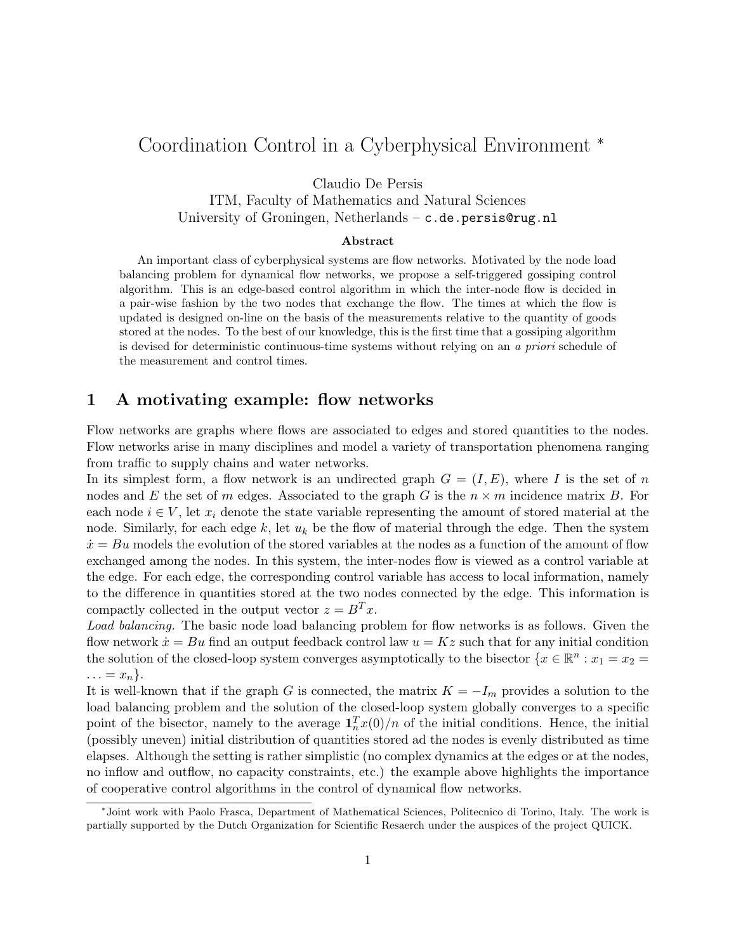## Coordination Control in a Cyberphysical Environment <sup>∗</sup>

Claudio De Persis

ITM, Faculty of Mathematics and Natural Sciences University of Groningen, Netherlands – c.de.persis@rug.nl

## Abstract

An important class of cyberphysical systems are flow networks. Motivated by the node load balancing problem for dynamical flow networks, we propose a self-triggered gossiping control algorithm. This is an edge-based control algorithm in which the inter-node flow is decided in a pair-wise fashion by the two nodes that exchange the flow. The times at which the flow is updated is designed on-line on the basis of the measurements relative to the quantity of goods stored at the nodes. To the best of our knowledge, this is the first time that a gossiping algorithm is devised for deterministic continuous-time systems without relying on an a priori schedule of the measurement and control times.

## 1 A motivating example: flow networks

Flow networks are graphs where flows are associated to edges and stored quantities to the nodes. Flow networks arise in many disciplines and model a variety of transportation phenomena ranging from traffic to supply chains and water networks.

In its simplest form, a flow network is an undirected graph  $G = (I, E)$ , where I is the set of n nodes and E the set of m edges. Associated to the graph G is the  $n \times m$  incidence matrix B. For each node  $i \in V$ , let  $x_i$  denote the state variable representing the amount of stored material at the node. Similarly, for each edge k, let  $u_k$  be the flow of material through the edge. Then the system  $\dot{x} = Bu$  models the evolution of the stored variables at the nodes as a function of the amount of flow exchanged among the nodes. In this system, the inter-nodes flow is viewed as a control variable at the edge. For each edge, the corresponding control variable has access to local information, namely to the difference in quantities stored at the two nodes connected by the edge. This information is compactly collected in the output vector  $z = B<sup>T</sup> x$ .

Load balancing. The basic node load balancing problem for flow networks is as follows. Given the flow network  $\dot{x} = Bu$  find an output feedback control law  $u = Kz$  such that for any initial condition the solution of the closed-loop system converges asymptotically to the bisector  $\{x \in \mathbb{R}^n : x_1 = x_2 = 1\}$  $\ldots = x_n$ .

It is well-known that if the graph G is connected, the matrix  $K = -I_m$  provides a solution to the load balancing problem and the solution of the closed-loop system globally converges to a specific point of the bisector, namely to the average  $\mathbf{1}_n^T x(0)/n$  of the initial conditions. Hence, the initial (possibly uneven) initial distribution of quantities stored ad the nodes is evenly distributed as time elapses. Although the setting is rather simplistic (no complex dynamics at the edges or at the nodes, no inflow and outflow, no capacity constraints, etc.) the example above highlights the importance of cooperative control algorithms in the control of dynamical flow networks.

<sup>∗</sup> Joint work with Paolo Frasca, Department of Mathematical Sciences, Politecnico di Torino, Italy. The work is partially supported by the Dutch Organization for Scientific Resaerch under the auspices of the project QUICK.